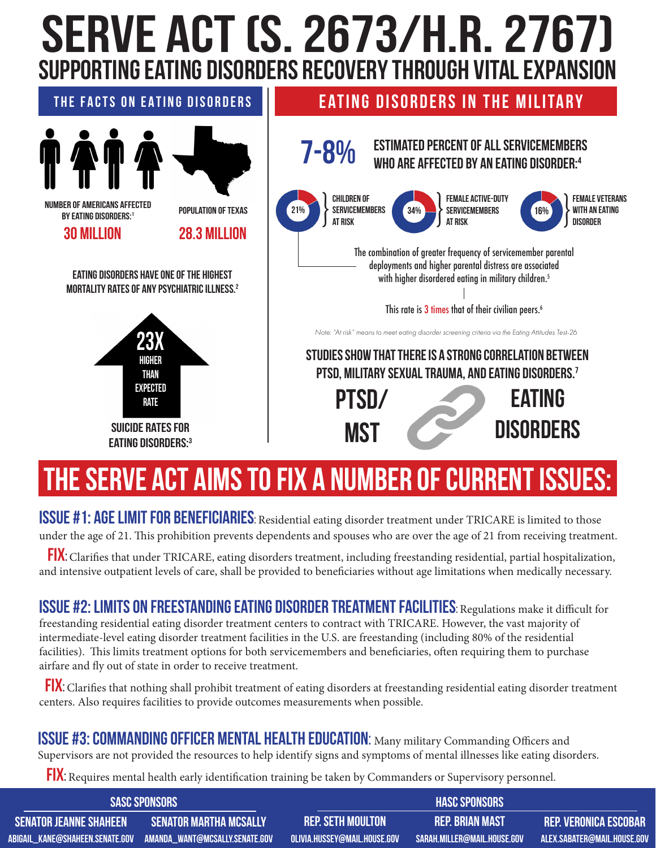## **SERVE Act (S. 2673/H.R. 2767) supporting eating disorders recovery through vital expansion**



## **The sERVE ACt aims to fix a number of current issues:**

**ISSUE #1: AGE LIMIT FOR BENEFICIARIES**: Residential eating disorder treatment under TRICARE is limited to those under the age of 21. This prohibition prevents dependents and spouses who are over the age of 21 from receiving treatment.

 **Fix**: Clarifies that under TRICARE, eating disorders treatment, including freestanding residential, partial hospitalization, and intensive outpatient levels of care, shall be provided to beneficiaries without age limitations when medically necessary.

**ISSUE #2: LIMITS ON FREESTANDING EATING DISORDER TREATMENT FACILITIES: Regulations make it difficult for** freestanding residential eating disorder treatment centers to contract with TRICARE. However, the vast majority of intermediate-level eating disorder treatment facilities in the U.S. are freestanding (including 80% of the residential facilities). This limits treatment options for both servicemembers and beneficiaries, often requiring them to purchase airfare and fly out of state in order to receive treatment.

FIX: Clarifies that nothing shall prohibit treatment of eating disorders at freestanding residential eating disorder treatment centers. Also requires facilities to provide outcomes measurements when possible.

## **ISSUE #3: COMMANDING OFFICER MENTAL HEALTH EDUCATION:** Many military Commanding Officers and

Supervisors are not provided the resources to help identify signs and symptoms of mental illnesses like eating disorders.

**FIX**: Requires mental health early identification training be taken by Commanders or Supervisory personnel.

| I SASC SPONSORS !      |                        | <b>HASC SPONSORS</b>                                       |                             |                             |
|------------------------|------------------------|------------------------------------------------------------|-----------------------------|-----------------------------|
| SENATOR JEANNE SHAHEEN | SENATOR MARTHA MCSALLY | <b>REP. SETH MOULTON</b>                                   | <b>REP. BRIAN MAST</b>      | REP. VERONICA ESCOBAR       |
|                        |                        | $\blacksquare$ olivia.hussey@mail.house.gov $\blacksquare$ | SARAH.MILLER@MAIL.HOUSE.GOV | ALEX.SABATER@MAIL.HOUSE.GOV |